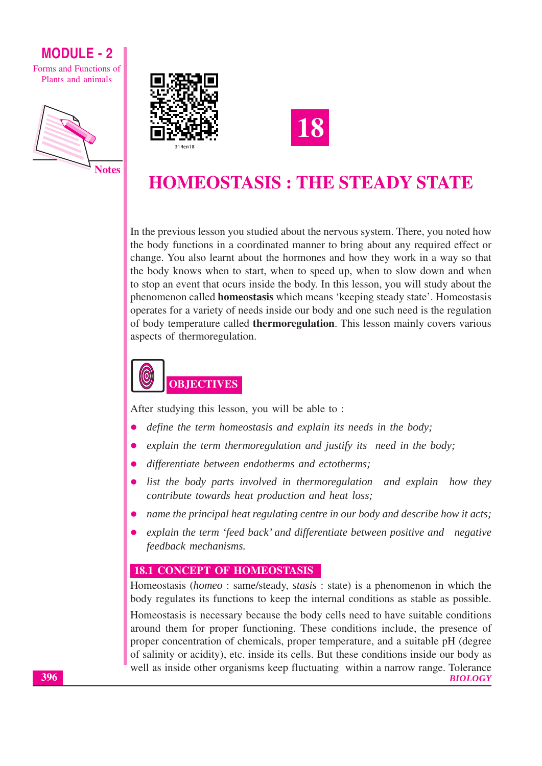

Forms and Functions of Plants and animals







## **HOMEOSTASIS : THE STEADY STATE**

In the previous lesson you studied about the nervous system. There, you noted how the body functions in a coordinated manner to bring about any required effect or change. You also learnt about the hormones and how they work in a way so that the body knows when to start, when to speed up, when to slow down and when to stop an event that ocurs inside the body. In this lesson, you will study about the phenomenon called **homeostasis** which means 'keeping steady state'. Homeostasis operates for a variety of needs inside our body and one such need is the regulation of body temperature called **thermoregulation**. This lesson mainly covers various aspects of thermoregulation.



After studying this lesson, you will be able to:

- define the term homeostasis and explain its needs in the body;
- explain the term thermoregulation and justify its need in the body;
- differentiate between endotherms and ectotherms;
- list the body parts involved in thermoregulation and explain how they contribute towards heat production and heat loss;
- name the principal heat regulating centre in our body and describe how it acts;
- explain the term 'feed back' and differentiate between positive and negative feedback mechanisms.

#### **18.1 CONCEPT OF HOMEOSTASIS**

Homeostasis (homeo: same/steady, stasis: state) is a phenomenon in which the body regulates its functions to keep the internal conditions as stable as possible. Homeostasis is necessary because the body cells need to have suitable conditions around them for proper functioning. These conditions include, the presence of proper concentration of chemicals, proper temperature, and a suitable pH (degree of salinity or acidity), etc. inside its cells. But these conditions inside our body as well as inside other organisms keep fluctuating within a narrow range. Tolerance **BIOLOGY**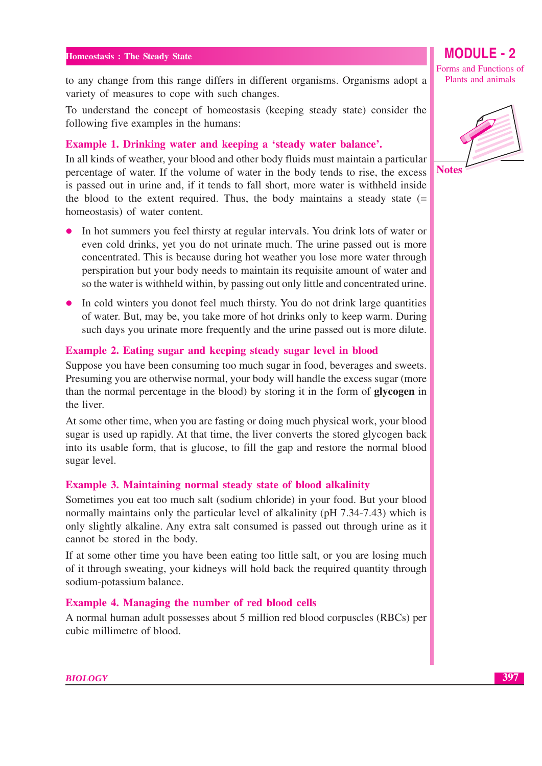to any change from this range differs in different organisms. Organisms adopt a variety of measures to cope with such changes.

To understand the concept of homeostasis (keeping steady state) consider the following five examples in the humans:

#### Example 1. Drinking water and keeping a 'steady water balance'.

In all kinds of weather, your blood and other body fluids must maintain a particular percentage of water. If the volume of water in the body tends to rise, the excess is passed out in urine and, if it tends to fall short, more water is withheld inside the blood to the extent required. Thus, the body maintains a steady state  $(=$ homeostasis) of water content.

- In hot summers you feel thirsty at regular intervals. You drink lots of water or  $\bullet$ even cold drinks, yet you do not urinate much. The urine passed out is more concentrated. This is because during hot weather you lose more water through perspiration but your body needs to maintain its requisite amount of water and so the water is withheld within, by passing out only little and concentrated urine.
- In cold winters you donot feel much thirsty. You do not drink large quantities of water. But, may be, you take more of hot drinks only to keep warm. During such days you urinate more frequently and the urine passed out is more dilute.

#### Example 2. Eating sugar and keeping steady sugar level in blood

Suppose you have been consuming too much sugar in food, beverages and sweets. Presuming you are otherwise normal, your body will handle the excess sugar (more than the normal percentage in the blood) by storing it in the form of glycogen in the liver.

At some other time, when you are fasting or doing much physical work, your blood sugar is used up rapidly. At that time, the liver converts the stored glycogen back into its usable form, that is glucose, to fill the gap and restore the normal blood sugar level.

#### Example 3. Maintaining normal steady state of blood alkalinity

Sometimes you eat too much salt (sodium chloride) in your food. But your blood normally maintains only the particular level of alkalinity (pH 7.34-7.43) which is only slightly alkaline. Any extra salt consumed is passed out through urine as it cannot be stored in the body.

If at some other time you have been eating too little salt, or you are losing much of it through sweating, your kidneys will hold back the required quantity through sodium-potassium balance.

#### **Example 4. Managing the number of red blood cells**

A normal human adult possesses about 5 million red blood corpuscles (RBCs) per cubic millimetre of blood.

**MODULE - 2** 

Forms and Functions of

Plants and animals

**Notes**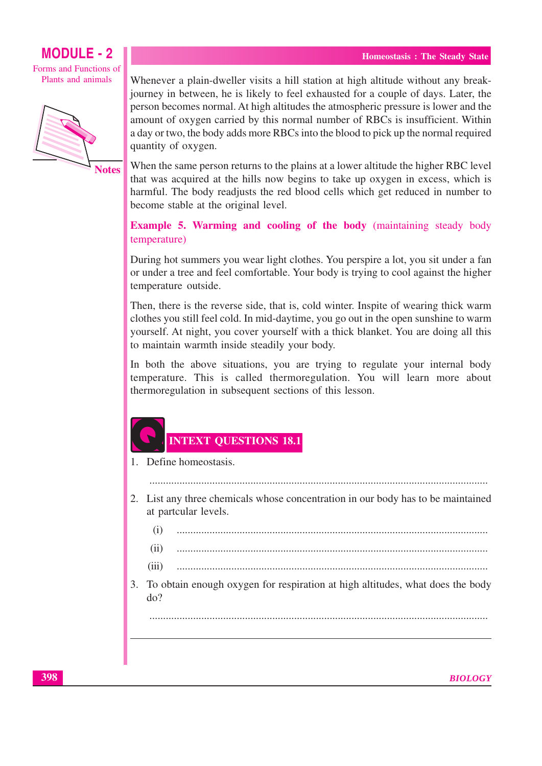Forms and Functions of Plants and animals



**Notes** 

Whenever a plain-dweller visits a hill station at high altitude without any breakjourney in between, he is likely to feel exhausted for a couple of days. Later, the person becomes normal. At high altitudes the atmospheric pressure is lower and the amount of oxygen carried by this normal number of RBCs is insufficient. Within a day or two, the body adds more RBCs into the blood to pick up the normal required quantity of oxygen.

When the same person returns to the plains at a lower altitude the higher RBC level that was acquired at the hills now begins to take up oxygen in excess, which is harmful. The body readjusts the red blood cells which get reduced in number to become stable at the original level.

**Example 5. Warming and cooling of the body** (maintaining steady body temperature)

During hot summers you wear light clothes. You perspire a lot, you sit under a fan or under a tree and feel comfortable. Your body is trying to cool against the higher temperature outside.

Then, there is the reverse side, that is, cold winter. Inspite of wearing thick warm clothes you still feel cold. In mid-daytime, you go out in the open sunshine to warm yourself. At night, you cover yourself with a thick blanket. You are doing all this to maintain warmth inside steadily your body.

In both the above situations, you are trying to regulate your internal body temperature. This is called thermoregulation. You will learn more about thermoregulation in subsequent sections of this lesson.

#### **INTEXT OUESTIONS 18.1**

1. Define homeostasis.

- 2. List any three chemicals whose concentration in our body has to be maintained at partcular levels.
	- $(i)$  $(ii)$  $(iii)$
- 3. To obtain enough oxygen for respiration at high altitudes, what does the body  $d\rho$ ?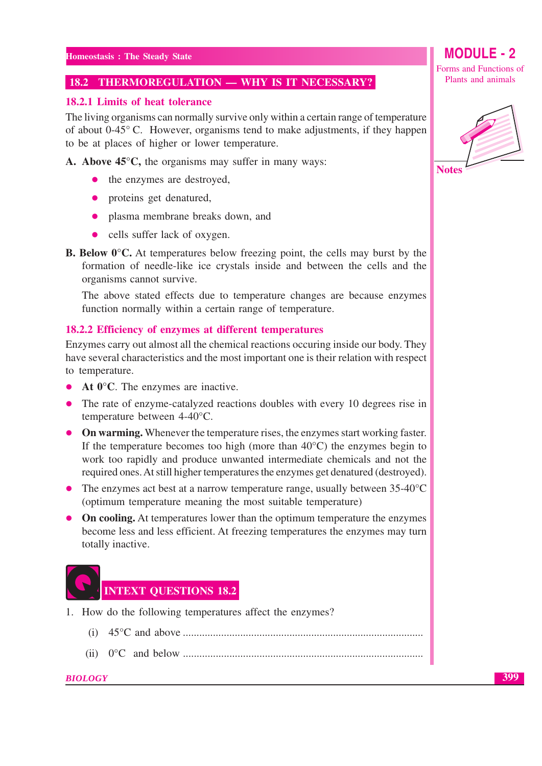#### 18.2 THERMOREGULATION - WHY IS IT NECESSARY?

#### 18.2.1 Limits of heat tolerance

The living organisms can normally survive only within a certain range of temperature of about  $0-45^{\circ}$  C. However, organisms tend to make adjustments, if they happen to be at places of higher or lower temperature.

A. Above  $45^{\circ}$ C, the organisms may suffer in many ways:

- the enzymes are destroyed,
- proteins get denatured,
- plasma membrane breaks down, and
- cells suffer lack of oxygen.  $\bullet$
- **B. Below**  $0^{\circ}$ **C.** At temperatures below freezing point, the cells may burst by the formation of needle-like ice crystals inside and between the cells and the organisms cannot survive.

The above stated effects due to temperature changes are because enzymes function normally within a certain range of temperature.

#### 18.2.2 Efficiency of enzymes at different temperatures

Enzymes carry out almost all the chemical reactions occuring inside our body. They have several characteristics and the most important one is their relation with respect to temperature.

- At  $0^{\circ}$ C. The enzymes are inactive.  $\bullet$
- The rate of enzyme-catalyzed reactions doubles with every 10 degrees rise in temperature between 4-40°C.
- On warming. Whenever the temperature rises, the enzymes start working faster. If the temperature becomes too high (more than  $40^{\circ}$ C) the enzymes begin to work too rapidly and produce unwanted intermediate chemicals and not the required ones. At still higher temperatures the enzymes get denatured (destroyed).
- The enzymes act best at a narrow temperature range, usually between  $35-40^{\circ}$ C (optimum temperature meaning the most suitable temperature)
- On cooling. At temperatures lower than the optimum temperature the enzymes become less and less efficient. At freezing temperatures the enzymes may turn totally inactive.



- 1. How do the following temperatures affect the enzymes?
	-
	-

## **MODULE - 2**

Forms and Functions of Plants and animals

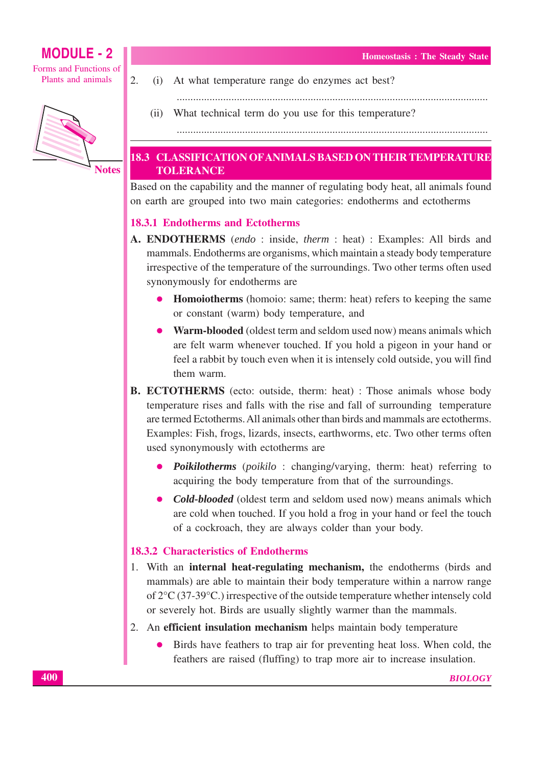Forms and Functions of Plants and animals



**Notes** 

 $\overline{2}$ .

At what temperature range do enzymes act best?  $(i)$ 

 $(ii)$ What technical term do you use for this temperature?

#### 18.3 CLASSIFICATION OF ANIMALS BASED ON THEIR TEMPERATURE **TOLERANCE**

Based on the capability and the manner of regulating body heat, all animals found on earth are grouped into two main categories: endotherms and ectotherms

#### **18.3.1 Endotherms and Ectotherms**

- A. ENDOTHERMS (endo: inside, therm: heat): Examples: All birds and mammals. Endotherms are organisms, which maintain a steady body temperature irrespective of the temperature of the surroundings. Two other terms often used synonymously for endotherms are
	- Homoiotherms (homoio: same; therm: heat) refers to keeping the same or constant (warm) body temperature, and
	- Warm-blooded (oldest term and seldom used now) means animals which are felt warm whenever touched. If you hold a pigeon in your hand or feel a rabbit by touch even when it is intensely cold outside, you will find them warm.
- **B. ECTOTHERMS** (ecto: outside, therm: heat) : Those animals whose body temperature rises and falls with the rise and fall of surrounding temperature are termed Ectotherms. All animals other than birds and mammals are ectotherms. Examples: Fish, frogs, lizards, insects, earthworms, etc. Two other terms often used synonymously with ectotherms are
	- *Poikilotherms* (*poikilo*: changing/varying, therm: heat) referring to  $\bullet$ acquiring the body temperature from that of the surroundings.
	- **Cold-blooded** (oldest term and seldom used now) means animals which  $\bullet$ are cold when touched. If you hold a frog in your hand or feel the touch of a cockroach, they are always colder than your body.

#### **18.3.2 Characteristics of Endotherms**

- 1. With an **internal heat-regulating mechanism**, the endotherms (birds and mammals) are able to maintain their body temperature within a narrow range of  $2^{\circ}C$  (37-39 $^{\circ}C$ .) irrespective of the outside temperature whether intensely cold or severely hot. Birds are usually slightly warmer than the mammals.
- 2. An efficient insulation mechanism helps maintain body temperature
	- Birds have feathers to trap air for preventing heat loss. When cold, the feathers are raised (fluffing) to trap more air to increase insulation.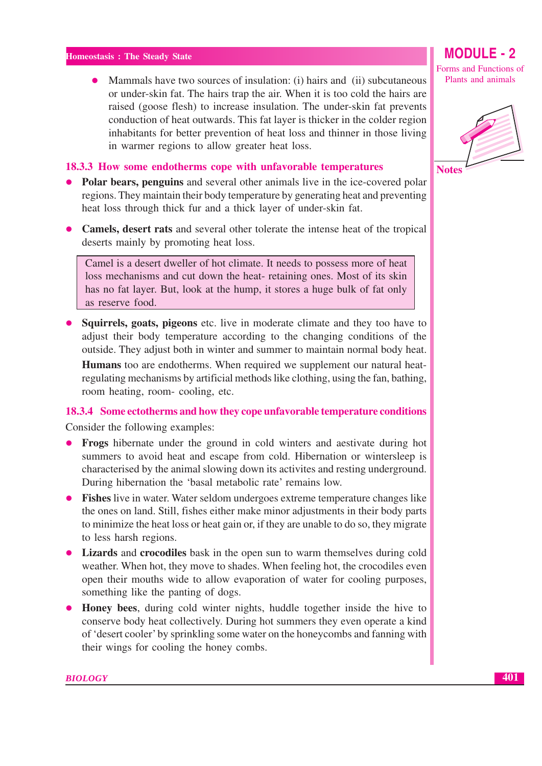Mammals have two sources of insulation: (i) hairs and (ii) subcutaneous or under-skin fat. The hairs trap the air. When it is too cold the hairs are raised (goose flesh) to increase insulation. The under-skin fat prevents conduction of heat outwards. This fat layer is thicker in the colder region inhabitants for better prevention of heat loss and thinner in those living in warmer regions to allow greater heat loss.

#### 18.3.3 How some endotherms cope with unfavorable temperatures

- Polar bears, penguins and several other animals live in the ice-covered polar  $\bullet$ regions. They maintain their body temperature by generating heat and preventing heat loss through thick fur and a thick layer of under-skin fat.
- Camels, desert rats and several other tolerate the intense heat of the tropical deserts mainly by promoting heat loss.

Camel is a desert dweller of hot climate. It needs to possess more of heat loss mechanisms and cut down the heat-retaining ones. Most of its skin has no fat layer. But, look at the hump, it stores a huge bulk of fat only as reserve food.

• Squirrels, goats, pigeons etc. live in moderate climate and they too have to adjust their body temperature according to the changing conditions of the outside. They adjust both in winter and summer to maintain normal body heat. **Humans** too are endotherms. When required we supplement our natural heatregulating mechanisms by artificial methods like clothing, using the fan, bathing, room heating, room-cooling, etc.

#### 18.3.4 Some ectotherms and how they cope unfavorable temperature conditions

Consider the following examples:

- Frogs hibernate under the ground in cold winters and aestivate during hot summers to avoid heat and escape from cold. Hibernation or wintersleep is characterised by the animal slowing down its activites and resting underground. During hibernation the 'basal metabolic rate' remains low.
- Fishes live in water. Water seldom undergoes extreme temperature changes like the ones on land. Still, fishes either make minor adjustments in their body parts to minimize the heat loss or heat gain or, if they are unable to do so, they migrate to less harsh regions.
- Lizards and crocodiles bask in the open sun to warm themselves during cold weather. When hot, they move to shades. When feeling hot, the crocodiles even open their mouths wide to allow evaporation of water for cooling purposes, something like the panting of dogs.
- Honey bees, during cold winter nights, huddle together inside the hive to conserve body heat collectively. During hot summers they even operate a kind of 'desert cooler' by sprinkling some water on the honeycombs and fanning with their wings for cooling the honey combs.



**BIOLOGY**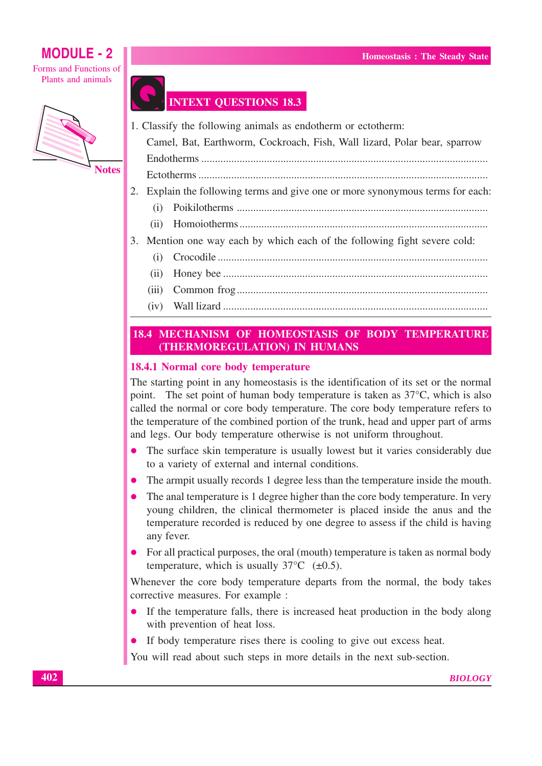Forms and Functions of Plants and animals



## **INTEXT QUESTIONS 18.3**

- 1. Classify the following animals as endotherm or ectotherm:
	- Camel, Bat, Earthworm, Cockroach, Fish, Wall lizard, Polar bear, sparrow
	- Endotherms
- 
- 2. Explain the following terms and give one or more synonymous terms for each:
	-
	-
- 3. Mention one way each by which each of the following fight severe cold:
	- $(i)$
	- $(ii)$
	- $(iii)$
	- $(iv)$

#### 18.4 MECHANISM OF HOMEOSTASIS OF BODY TEMPERATURE (THERMOREGULATION) IN HUMANS

#### 18.4.1 Normal core body temperature

The starting point in any homeostasis is the identification of its set or the normal point. The set point of human body temperature is taken as  $37^{\circ}$ C, which is also called the normal or core body temperature. The core body temperature refers to the temperature of the combined portion of the trunk, head and upper part of arms and legs. Our body temperature otherwise is not uniform throughout.

- The surface skin temperature is usually lowest but it varies considerably due  $\bullet$ to a variety of external and internal conditions.
- The armpit usually records 1 degree less than the temperature inside the mouth.
- The anal temperature is 1 degree higher than the core body temperature. In very young children, the clinical thermometer is placed inside the anus and the temperature recorded is reduced by one degree to assess if the child is having any fever.
- For all practical purposes, the oral (mouth) temperature is taken as normal body temperature, which is usually  $37^{\circ}$ C ( $\pm$ 0.5).

Whenever the core body temperature departs from the normal, the body takes corrective measures. For example :

- If the temperature falls, there is increased heat production in the body along with prevention of heat loss.
- If body temperature rises there is cooling to give out excess heat.

You will read about such steps in more details in the next sub-section.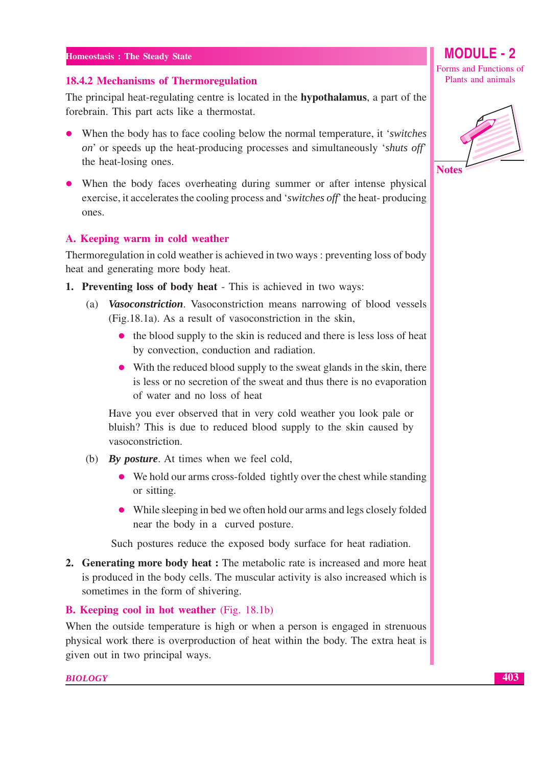#### 18.4.2 Mechanisms of Thermoregulation

The principal heat-regulating centre is located in the **hypothalamus**, a part of the forebrain. This part acts like a thermostat.

- When the body has to face cooling below the normal temperature, it 'switches' on' or speeds up the heat-producing processes and simultaneously *'shuts off'* the heat-losing ones.
- When the body faces overheating during summer or after intense physical exercise, it accelerates the cooling process and 'switches off' the heat-producing ones.

#### A. Keeping warm in cold weather

Thermoregulation in cold weather is achieved in two ways : preventing loss of body heat and generating more body heat.

- 1. Preventing loss of body heat This is achieved in two ways:
	- (a) Vasoconstriction. Vasoconstriction means narrowing of blood vessels (Fig. 18.1a). As a result of vasoconstriction in the skin,
		- the blood supply to the skin is reduced and there is less loss of heat by convection, conduction and radiation.
		- With the reduced blood supply to the sweat glands in the skin, there is less or no secretion of the sweat and thus there is no evaporation of water and no loss of heat

Have you ever observed that in very cold weather you look pale or bluish? This is due to reduced blood supply to the skin caused by vasoconstriction.

- (b) By *posture*. At times when we feel cold,
	- We hold our arms cross-folded tightly over the chest while standing or sitting.
	- While sleeping in bed we often hold our arms and legs closely folded near the body in a curved posture.

Such postures reduce the exposed body surface for heat radiation.

2. Generating more body heat: The metabolic rate is increased and more heat is produced in the body cells. The muscular activity is also increased which is sometimes in the form of shivering.

#### **B.** Keeping cool in hot weather (Fig. 18.1b)

When the outside temperature is high or when a person is engaged in strenuous physical work there is overproduction of heat within the body. The extra heat is given out in two principal ways.

#### **BIOLOGY**

Forms and Functions of Plants and animals

**MODULE - 2** 

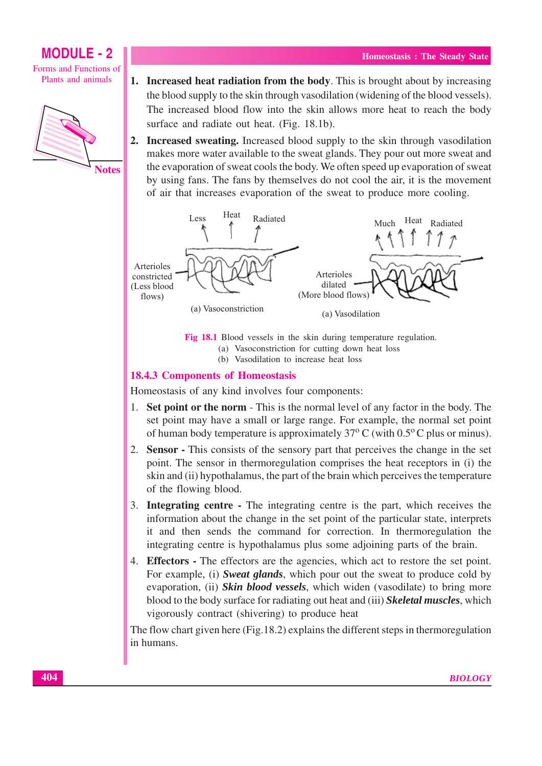Forms and Functions of Plants and animals



- 1. Increased heat radiation from the body. This is brought about by increasing the blood supply to the skin through vasodilation (widening of the blood vessels). The increased blood flow into the skin allows more heat to reach the body surface and radiate out heat. (Fig. 18.1b).
- **2. Increased sweating.** Increased blood supply to the skin through vasodilation makes more water available to the sweat glands. They pour out more sweat and the evaporation of sweat cools the body. We often speed up evaporation of sweat by using fans. The fans by themselves do not cool the air, it is the movement of air that increases evaporation of the sweat to produce more cooling.



Fig 18.1 Blood vessels in the skin during temperature regulation. (a) Vasoconstriction for cutting down heat loss

(b) Vasodilation to increase heat loss

#### **18.4.3 Components of Homeostasis**

Homeostasis of any kind involves four components:

- 1. Set point or the norm This is the normal level of any factor in the body. The set point may have a small or large range. For example, the normal set point of human body temperature is approximately  $37^{\circ}$  C (with 0.5<sup>o</sup>C plus or minus).
- 2. Sensor This consists of the sensory part that perceives the change in the set point. The sensor in thermoregulation comprises the heat receptors in (i) the skin and (ii) hypothalamus, the part of the brain which perceives the temperature of the flowing blood.
- 3. Integrating centre The integrating centre is the part, which receives the information about the change in the set point of the particular state, interprets it and then sends the command for correction. In thermoregulation the integrating centre is hypothalamus plus some adjoining parts of the brain.
- 4. Effectors The effectors are the agencies, which act to restore the set point. For example, (i) Sweat glands, which pour out the sweat to produce cold by evaporation, (ii) Skin blood vessels, which widen (vasodilate) to bring more blood to the body surface for radiating out heat and (iii) Skeletal muscles, which vigorously contract (shivering) to produce heat

The flow chart given here (Fig. 18.2) explains the different steps in thermoregulation in humans.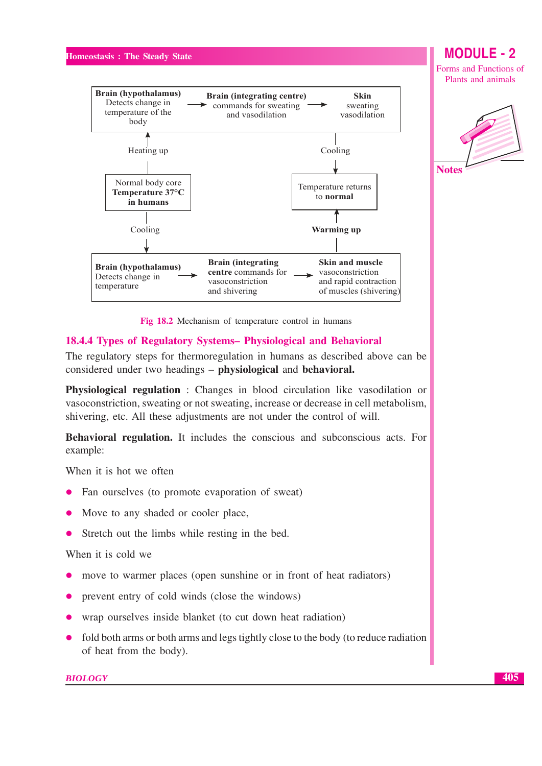



Fig 18.2 Mechanism of temperature control in humans

#### 18.4.4 Types of Regulatory Systems- Physiological and Behavioral

The regulatory steps for thermoregulation in humans as described above can be considered under two headings – physiological and behavioral.

Physiological regulation: Changes in blood circulation like vasodilation or vasoconstriction, sweating or not sweating, increase or decrease in cell metabolism, shivering, etc. All these adjustments are not under the control of will.

Behavioral regulation. It includes the conscious and subconscious acts. For example:

When it is hot we often

- Fan ourselves (to promote evaporation of sweat)
- Move to any shaded or cooler place,
- Stretch out the limbs while resting in the bed.

#### When it is cold we

- move to warmer places (open sunshine or in front of heat radiators)
- prevent entry of cold winds (close the windows)
- wrap ourselves inside blanket (to cut down heat radiation)
- fold both arms or both arms and legs tightly close to the body (to reduce radiation of heat from the body).

**BIOLOGY** 

## **MODULE-2**

Forms and Functions of Plants and animals

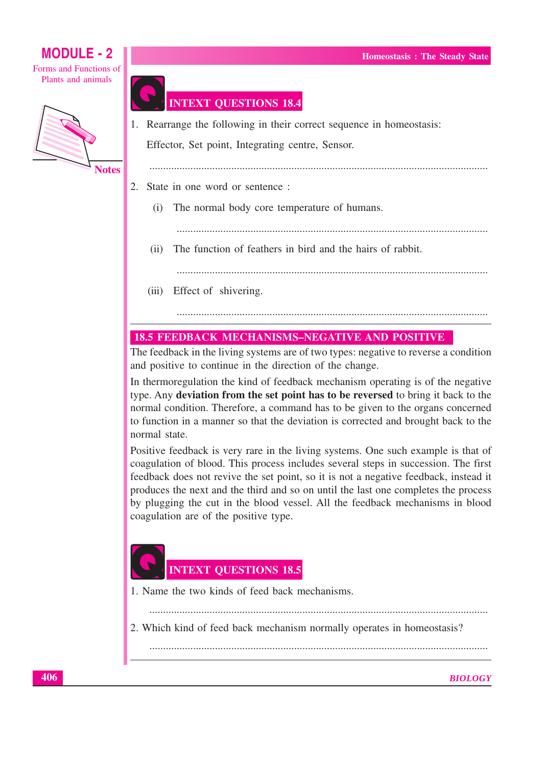Forms and Functions of Plants and animals



## **INTEXT QUESTIONS 18.4**

1. Rearrange the following in their correct sequence in homeostasis:

Effector, Set point, Integrating centre, Sensor.

- 2. State in one word or sentence:
	- The normal body core temperature of humans.  $(i)$ 
		-
	- The function of feathers in bird and the hairs of rabbit.  $(ii)$ 
		-
	- (iii) Effect of shivering.

## **18.5 FEEDBACK MECHANISMS-NEGATIVE AND POSITIVE**

The feedback in the living systems are of two types: negative to reverse a condition and positive to continue in the direction of the change.

In thermoregulation the kind of feedback mechanism operating is of the negative type. Any deviation from the set point has to be reversed to bring it back to the normal condition. Therefore, a command has to be given to the organs concerned to function in a manner so that the deviation is corrected and brought back to the normal state.

Positive feedback is very rare in the living systems. One such example is that of coagulation of blood. This process includes several steps in succession. The first feedback does not revive the set point, so it is not a negative feedback, instead it produces the next and the third and so on until the last one completes the process by plugging the cut in the blood vessel. All the feedback mechanisms in blood coagulation are of the positive type.

## **INTEXT QUESTIONS 18.5**

1. Name the two kinds of feed back mechanisms.

2. Which kind of feed back mechanism normally operates in homeostasis?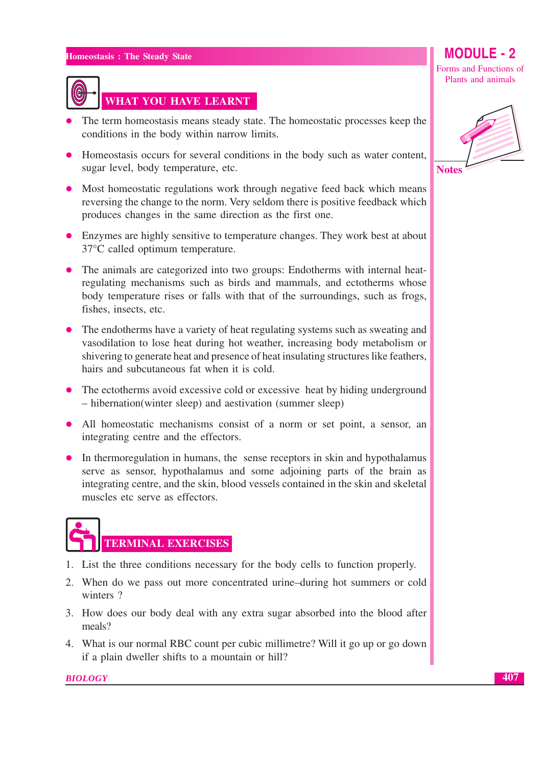

## WHAT YOU HAVE LEARNT

- The term homeostasis means steady state. The homeostatic processes keep the conditions in the body within narrow limits.
- Homeostasis occurs for several conditions in the body such as water content, sugar level, body temperature, etc.
- Most homeostatic regulations work through negative feed back which means reversing the change to the norm. Very seldom there is positive feedback which produces changes in the same direction as the first one.
- Enzymes are highly sensitive to temperature changes. They work best at about 37°C called optimum temperature.
- The animals are categorized into two groups: Endotherms with internal heatregulating mechanisms such as birds and mammals, and ectotherms whose body temperature rises or falls with that of the surroundings, such as frogs, fishes, insects, etc.
- The endotherms have a variety of heat regulating systems such as sweating and vasodilation to lose heat during hot weather, increasing body metabolism or shivering to generate heat and presence of heat insulating structures like feathers, hairs and subcutaneous fat when it is cold.
- The ectotherms avoid excessive cold or excessive heat by hiding underground - hibernation(winter sleep) and aestivation (summer sleep)
- All homeostatic mechanisms consist of a norm or set point, a sensor, an integrating centre and the effectors.
- In thermoregulation in humans, the sense receptors in skin and hypothalamus serve as sensor, hypothalamus and some adjoining parts of the brain as integrating centre, and the skin, blood vessels contained in the skin and skeletal muscles etc serve as effectors.

# **TERMINAL EXERCISES**

- 1. List the three conditions necessary for the body cells to function properly.
- 2. When do we pass out more concentrated urine-during hot summers or cold winters?
- 3. How does our body deal with any extra sugar absorbed into the blood after meals?
- 4. What is our normal RBC count per cubic millimetre? Will it go up or go down if a plain dweller shifts to a mountain or hill?

**BIOLOGY** 

## **MODULE - 2**

Forms and Functions of Plants and animals



407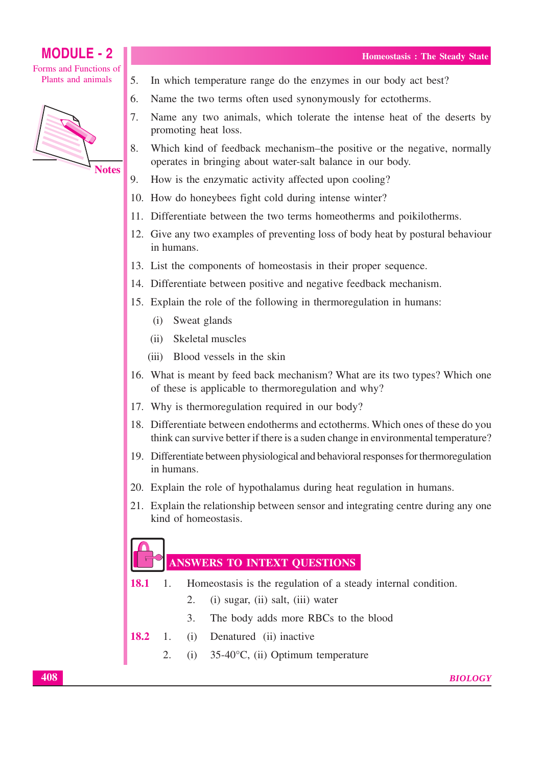#### **MODULE - 2** Forms and Functions of Plants and animals



- 5. In which temperature range do the enzymes in our body act best?
- 6. Name the two terms often used synonymously for ectotherms.
- $7<sub>1</sub>$ Name any two animals, which tolerate the intense heat of the deserts by promoting heat loss.
- 8. Which kind of feedback mechanism–the positive or the negative, normally operates in bringing about water-salt balance in our body.
- 9. How is the enzymatic activity affected upon cooling?
- 10. How do honeybees fight cold during intense winter?
- 11. Differentiate between the two terms homeotherms and poikilotherms.
- 12. Give any two examples of preventing loss of body heat by postural behaviour in humans.
- 13. List the components of homeostasis in their proper sequence.
- 14. Differentiate between positive and negative feedback mechanism.
- 15. Explain the role of the following in thermoregulation in humans:
	- (i) Sweat glands
	- $(ii)$ Skeletal muscles
	- Blood vessels in the skin  $(iii)$
- 16. What is meant by feed back mechanism? What are its two types? Which one of these is applicable to thermoregulation and why?
- 17. Why is thermoregulation required in our body?
- 18. Differentiate between endotherms and ectotherms. Which ones of these do you think can survive better if there is a suden change in environmental temperature?
- 19. Differentiate between physiological and behavioral responses for thermoregulation in humans.
- 20. Explain the role of hypothalamus during heat regulation in humans.
- 21. Explain the relationship between sensor and integrating centre during any one kind of homeostasis.

### **ANSWERS TO INTEXT QUESTIONS**

- 18.1  $\mathbf{1}$ . Homeostasis is the regulation of a steady internal condition.
	- 2. (i) sugar, (ii) salt, (iii) water
	- 3. The body adds more RBCs to the blood
- 18.2  $(i)$  $\mathbf{1}$ Denatured (ii) inactive
	- $\overline{2}$ .  $(i)$  $35-40^{\circ}$ C, (ii) Optimum temperature